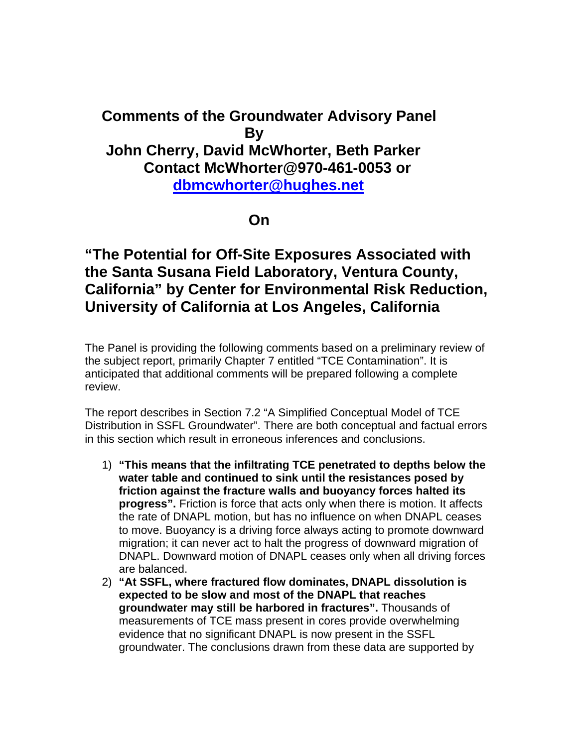## **Comments of the Groundwater Advisory Panel By John Cherry, David McWhorter, Beth Parker Contact McWhorter@970-461-0053 or dbmcwhorter@hughes.net**

*<u>Department</u>* 

## **"The Potential for Off-Site Exposures Associated with the Santa Susana Field Laboratory, Ventura County, California" by Center for Environmental Risk Reduction, University of California at Los Angeles, California**

The Panel is providing the following comments based on a preliminary review of the subject report, primarily Chapter 7 entitled "TCE Contamination". It is anticipated that additional comments will be prepared following a complete review.

The report describes in Section 7.2 "A Simplified Conceptual Model of TCE Distribution in SSFL Groundwater". There are both conceptual and factual errors in this section which result in erroneous inferences and conclusions.

- 1) **"This means that the infiltrating TCE penetrated to depths below the water table and continued to sink until the resistances posed by friction against the fracture walls and buoyancy forces halted its progress".** Friction is force that acts only when there is motion. It affects the rate of DNAPL motion, but has no influence on when DNAPL ceases to move. Buoyancy is a driving force always acting to promote downward migration; it can never act to halt the progress of downward migration of DNAPL. Downward motion of DNAPL ceases only when all driving forces are balanced.
- 2) **"At SSFL, where fractured flow dominates, DNAPL dissolution is expected to be slow and most of the DNAPL that reaches groundwater may still be harbored in fractures".** Thousands of measurements of TCE mass present in cores provide overwhelming evidence that no significant DNAPL is now present in the SSFL groundwater. The conclusions drawn from these data are supported by